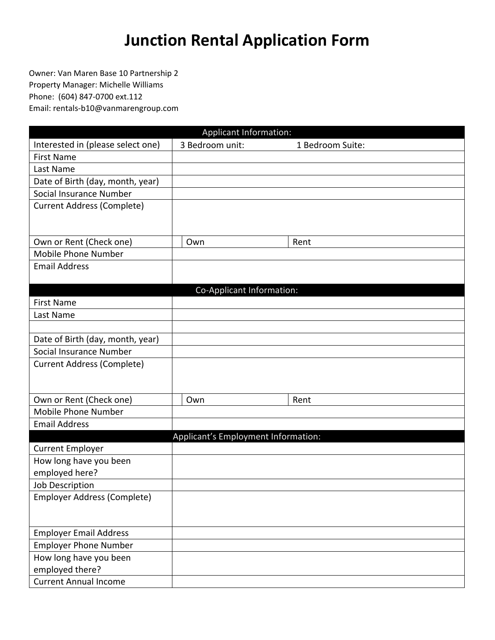## **Junction Rental Application Form**

Owner: Van Maren Base 10 Partnership 2 Property Manager: Michelle Williams Phone: (604) 847-0700 ext.112 Email: rentals-b10@vanmarengroup.com

|                                   | <b>Applicant Information:</b>       |                  |  |
|-----------------------------------|-------------------------------------|------------------|--|
| Interested in (please select one) | 3 Bedroom unit:                     | 1 Bedroom Suite: |  |
| <b>First Name</b>                 |                                     |                  |  |
| Last Name                         |                                     |                  |  |
| Date of Birth (day, month, year)  |                                     |                  |  |
| Social Insurance Number           |                                     |                  |  |
| <b>Current Address (Complete)</b> |                                     |                  |  |
|                                   |                                     |                  |  |
| Own or Rent (Check one)           | Own                                 | Rent             |  |
| <b>Mobile Phone Number</b>        |                                     |                  |  |
| <b>Email Address</b>              |                                     |                  |  |
|                                   |                                     |                  |  |
|                                   | Co-Applicant Information:           |                  |  |
| <b>First Name</b>                 |                                     |                  |  |
| Last Name                         |                                     |                  |  |
|                                   |                                     |                  |  |
| Date of Birth (day, month, year)  |                                     |                  |  |
| Social Insurance Number           |                                     |                  |  |
| <b>Current Address (Complete)</b> |                                     |                  |  |
|                                   |                                     |                  |  |
|                                   |                                     |                  |  |
| Own or Rent (Check one)           | Own                                 | Rent             |  |
| Mobile Phone Number               |                                     |                  |  |
| <b>Email Address</b>              |                                     |                  |  |
|                                   | Applicant's Employment Information: |                  |  |
| <b>Current Employer</b>           |                                     |                  |  |
| How long have you been            |                                     |                  |  |
| employed here?                    |                                     |                  |  |
| Job Description                   |                                     |                  |  |
| Employer Address (Complete)       |                                     |                  |  |
|                                   |                                     |                  |  |
| <b>Employer Email Address</b>     |                                     |                  |  |
| <b>Employer Phone Number</b>      |                                     |                  |  |
| How long have you been            |                                     |                  |  |
| employed there?                   |                                     |                  |  |
| <b>Current Annual Income</b>      |                                     |                  |  |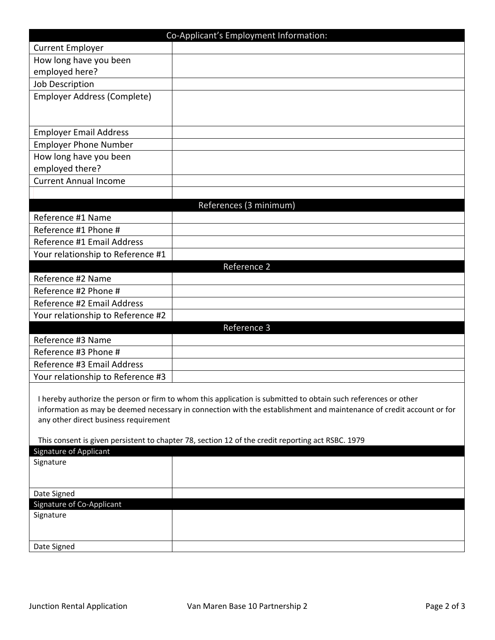| <b>Current Employer</b><br>How long have you been<br>employed here?<br>Job Description<br><b>Employer Address (Complete)</b><br><b>Employer Email Address</b><br><b>Employer Phone Number</b><br>How long have you been<br>employed there?<br><b>Current Annual Income</b><br>References (3 minimum)<br>Reference #1 Name<br>Reference #1 Phone #<br>Reference #1 Email Address<br>Your relationship to Reference #1<br>Reference 2<br>Reference #2 Name<br>Reference #2 Phone #<br>Reference #2 Email Address<br>Your relationship to Reference #2<br>Reference 3<br>Reference #3 Name<br>Reference #3 Phone #<br>Reference #3 Email Address<br>Your relationship to Reference #3<br>I hereby authorize the person or firm to whom this application is submitted to obtain such references or other<br>information as may be deemed necessary in connection with the establishment and maintenance of credit account or for<br>any other direct business requirement<br>This consent is given persistent to chapter 78, section 12 of the credit reporting act RSBC. 1979<br><b>Signature of Applicant</b><br>Signature<br>Date Signed<br>Signature of Co-Applicant<br>Signature |             | Co-Applicant's Employment Information: |
|-----------------------------------------------------------------------------------------------------------------------------------------------------------------------------------------------------------------------------------------------------------------------------------------------------------------------------------------------------------------------------------------------------------------------------------------------------------------------------------------------------------------------------------------------------------------------------------------------------------------------------------------------------------------------------------------------------------------------------------------------------------------------------------------------------------------------------------------------------------------------------------------------------------------------------------------------------------------------------------------------------------------------------------------------------------------------------------------------------------------------------------------------------------------------------------|-------------|----------------------------------------|
|                                                                                                                                                                                                                                                                                                                                                                                                                                                                                                                                                                                                                                                                                                                                                                                                                                                                                                                                                                                                                                                                                                                                                                                   |             |                                        |
|                                                                                                                                                                                                                                                                                                                                                                                                                                                                                                                                                                                                                                                                                                                                                                                                                                                                                                                                                                                                                                                                                                                                                                                   |             |                                        |
|                                                                                                                                                                                                                                                                                                                                                                                                                                                                                                                                                                                                                                                                                                                                                                                                                                                                                                                                                                                                                                                                                                                                                                                   |             |                                        |
|                                                                                                                                                                                                                                                                                                                                                                                                                                                                                                                                                                                                                                                                                                                                                                                                                                                                                                                                                                                                                                                                                                                                                                                   |             |                                        |
|                                                                                                                                                                                                                                                                                                                                                                                                                                                                                                                                                                                                                                                                                                                                                                                                                                                                                                                                                                                                                                                                                                                                                                                   |             |                                        |
|                                                                                                                                                                                                                                                                                                                                                                                                                                                                                                                                                                                                                                                                                                                                                                                                                                                                                                                                                                                                                                                                                                                                                                                   |             |                                        |
|                                                                                                                                                                                                                                                                                                                                                                                                                                                                                                                                                                                                                                                                                                                                                                                                                                                                                                                                                                                                                                                                                                                                                                                   |             |                                        |
|                                                                                                                                                                                                                                                                                                                                                                                                                                                                                                                                                                                                                                                                                                                                                                                                                                                                                                                                                                                                                                                                                                                                                                                   |             |                                        |
|                                                                                                                                                                                                                                                                                                                                                                                                                                                                                                                                                                                                                                                                                                                                                                                                                                                                                                                                                                                                                                                                                                                                                                                   |             |                                        |
|                                                                                                                                                                                                                                                                                                                                                                                                                                                                                                                                                                                                                                                                                                                                                                                                                                                                                                                                                                                                                                                                                                                                                                                   |             |                                        |
|                                                                                                                                                                                                                                                                                                                                                                                                                                                                                                                                                                                                                                                                                                                                                                                                                                                                                                                                                                                                                                                                                                                                                                                   |             |                                        |
|                                                                                                                                                                                                                                                                                                                                                                                                                                                                                                                                                                                                                                                                                                                                                                                                                                                                                                                                                                                                                                                                                                                                                                                   |             |                                        |
|                                                                                                                                                                                                                                                                                                                                                                                                                                                                                                                                                                                                                                                                                                                                                                                                                                                                                                                                                                                                                                                                                                                                                                                   |             |                                        |
|                                                                                                                                                                                                                                                                                                                                                                                                                                                                                                                                                                                                                                                                                                                                                                                                                                                                                                                                                                                                                                                                                                                                                                                   |             |                                        |
|                                                                                                                                                                                                                                                                                                                                                                                                                                                                                                                                                                                                                                                                                                                                                                                                                                                                                                                                                                                                                                                                                                                                                                                   |             |                                        |
|                                                                                                                                                                                                                                                                                                                                                                                                                                                                                                                                                                                                                                                                                                                                                                                                                                                                                                                                                                                                                                                                                                                                                                                   |             |                                        |
|                                                                                                                                                                                                                                                                                                                                                                                                                                                                                                                                                                                                                                                                                                                                                                                                                                                                                                                                                                                                                                                                                                                                                                                   |             |                                        |
|                                                                                                                                                                                                                                                                                                                                                                                                                                                                                                                                                                                                                                                                                                                                                                                                                                                                                                                                                                                                                                                                                                                                                                                   |             |                                        |
|                                                                                                                                                                                                                                                                                                                                                                                                                                                                                                                                                                                                                                                                                                                                                                                                                                                                                                                                                                                                                                                                                                                                                                                   |             |                                        |
|                                                                                                                                                                                                                                                                                                                                                                                                                                                                                                                                                                                                                                                                                                                                                                                                                                                                                                                                                                                                                                                                                                                                                                                   |             |                                        |
|                                                                                                                                                                                                                                                                                                                                                                                                                                                                                                                                                                                                                                                                                                                                                                                                                                                                                                                                                                                                                                                                                                                                                                                   |             |                                        |
|                                                                                                                                                                                                                                                                                                                                                                                                                                                                                                                                                                                                                                                                                                                                                                                                                                                                                                                                                                                                                                                                                                                                                                                   |             |                                        |
|                                                                                                                                                                                                                                                                                                                                                                                                                                                                                                                                                                                                                                                                                                                                                                                                                                                                                                                                                                                                                                                                                                                                                                                   |             |                                        |
|                                                                                                                                                                                                                                                                                                                                                                                                                                                                                                                                                                                                                                                                                                                                                                                                                                                                                                                                                                                                                                                                                                                                                                                   |             |                                        |
|                                                                                                                                                                                                                                                                                                                                                                                                                                                                                                                                                                                                                                                                                                                                                                                                                                                                                                                                                                                                                                                                                                                                                                                   |             |                                        |
|                                                                                                                                                                                                                                                                                                                                                                                                                                                                                                                                                                                                                                                                                                                                                                                                                                                                                                                                                                                                                                                                                                                                                                                   |             |                                        |
|                                                                                                                                                                                                                                                                                                                                                                                                                                                                                                                                                                                                                                                                                                                                                                                                                                                                                                                                                                                                                                                                                                                                                                                   |             |                                        |
|                                                                                                                                                                                                                                                                                                                                                                                                                                                                                                                                                                                                                                                                                                                                                                                                                                                                                                                                                                                                                                                                                                                                                                                   |             |                                        |
|                                                                                                                                                                                                                                                                                                                                                                                                                                                                                                                                                                                                                                                                                                                                                                                                                                                                                                                                                                                                                                                                                                                                                                                   |             |                                        |
|                                                                                                                                                                                                                                                                                                                                                                                                                                                                                                                                                                                                                                                                                                                                                                                                                                                                                                                                                                                                                                                                                                                                                                                   |             |                                        |
|                                                                                                                                                                                                                                                                                                                                                                                                                                                                                                                                                                                                                                                                                                                                                                                                                                                                                                                                                                                                                                                                                                                                                                                   |             |                                        |
|                                                                                                                                                                                                                                                                                                                                                                                                                                                                                                                                                                                                                                                                                                                                                                                                                                                                                                                                                                                                                                                                                                                                                                                   |             |                                        |
|                                                                                                                                                                                                                                                                                                                                                                                                                                                                                                                                                                                                                                                                                                                                                                                                                                                                                                                                                                                                                                                                                                                                                                                   |             |                                        |
|                                                                                                                                                                                                                                                                                                                                                                                                                                                                                                                                                                                                                                                                                                                                                                                                                                                                                                                                                                                                                                                                                                                                                                                   |             |                                        |
|                                                                                                                                                                                                                                                                                                                                                                                                                                                                                                                                                                                                                                                                                                                                                                                                                                                                                                                                                                                                                                                                                                                                                                                   |             |                                        |
|                                                                                                                                                                                                                                                                                                                                                                                                                                                                                                                                                                                                                                                                                                                                                                                                                                                                                                                                                                                                                                                                                                                                                                                   |             |                                        |
|                                                                                                                                                                                                                                                                                                                                                                                                                                                                                                                                                                                                                                                                                                                                                                                                                                                                                                                                                                                                                                                                                                                                                                                   |             |                                        |
|                                                                                                                                                                                                                                                                                                                                                                                                                                                                                                                                                                                                                                                                                                                                                                                                                                                                                                                                                                                                                                                                                                                                                                                   |             |                                        |
|                                                                                                                                                                                                                                                                                                                                                                                                                                                                                                                                                                                                                                                                                                                                                                                                                                                                                                                                                                                                                                                                                                                                                                                   |             |                                        |
|                                                                                                                                                                                                                                                                                                                                                                                                                                                                                                                                                                                                                                                                                                                                                                                                                                                                                                                                                                                                                                                                                                                                                                                   | Date Signed |                                        |